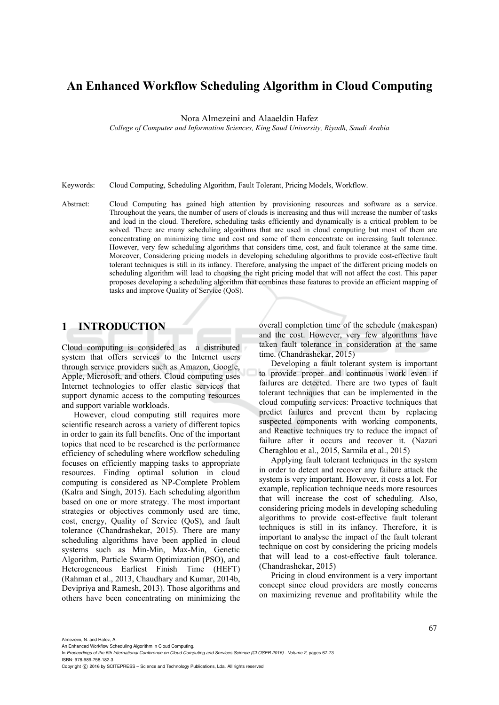# **An Enhanced Workflow Scheduling Algorithm in Cloud Computing**

Nora Almezeini and Alaaeldin Hafez

*College of Computer and Information Sciences, King Saud University, Riyadh, Saudi Arabia* 

Keywords: Cloud Computing, Scheduling Algorithm, Fault Tolerant, Pricing Models, Workflow.

Abstract: Cloud Computing has gained high attention by provisioning resources and software as a service. Throughout the years, the number of users of clouds is increasing and thus will increase the number of tasks and load in the cloud. Therefore, scheduling tasks efficiently and dynamically is a critical problem to be solved. There are many scheduling algorithms that are used in cloud computing but most of them are concentrating on minimizing time and cost and some of them concentrate on increasing fault tolerance. However, very few scheduling algorithms that considers time, cost, and fault tolerance at the same time. Moreover, Considering pricing models in developing scheduling algorithms to provide cost-effective fault tolerant techniques is still in its infancy. Therefore, analysing the impact of the different pricing models on scheduling algorithm will lead to choosing the right pricing model that will not affect the cost. This paper proposes developing a scheduling algorithm that combines these features to provide an efficient mapping of tasks and improve Quality of Service (QoS).

## **1 INTRODUCTION**

Cloud computing is considered as a distributed system that offers services to the Internet users through service providers such as Amazon, Google, Apple, Microsoft, and others. Cloud computing uses Internet technologies to offer elastic services that support dynamic access to the computing resources and support variable workloads.

However, cloud computing still requires more scientific research across a variety of different topics in order to gain its full benefits. One of the important topics that need to be researched is the performance efficiency of scheduling where workflow scheduling focuses on efficiently mapping tasks to appropriate resources. Finding optimal solution in cloud computing is considered as NP-Complete Problem (Kalra and Singh, 2015). Each scheduling algorithm based on one or more strategy. The most important strategies or objectives commonly used are time, cost, energy, Quality of Service (QoS), and fault tolerance (Chandrashekar, 2015). There are many scheduling algorithms have been applied in cloud systems such as Min-Min, Max-Min, Genetic Algorithm, Particle Swarm Optimization (PSO), and Heterogeneous Earliest Finish Time (HEFT) (Rahman et al., 2013, Chaudhary and Kumar, 2014b, Devipriya and Ramesh, 2013). Those algorithms and others have been concentrating on minimizing the

overall completion time of the schedule (makespan) and the cost. However, very few algorithms have taken fault tolerance in consideration at the same time. (Chandrashekar, 2015)

Developing a fault tolerant system is important to provide proper and continuous work even if failures are detected. There are two types of fault tolerant techniques that can be implemented in the cloud computing services: Proactive techniques that predict failures and prevent them by replacing suspected components with working components, and Reactive techniques try to reduce the impact of failure after it occurs and recover it. (Nazari Cheraghlou et al., 2015, Sarmila et al., 2015)

Applying fault tolerant techniques in the system in order to detect and recover any failure attack the system is very important. However, it costs a lot. For example, replication technique needs more resources that will increase the cost of scheduling. Also, considering pricing models in developing scheduling algorithms to provide cost-effective fault tolerant techniques is still in its infancy. Therefore, it is important to analyse the impact of the fault tolerant technique on cost by considering the pricing models that will lead to a cost-effective fault tolerance. (Chandrashekar, 2015)

Pricing in cloud environment is a very important concept since cloud providers are mostly concerns on maximizing revenue and profitability while the

Almezeini, N. and Hafez, A.

In *Proceedings of the 6th International Conference on Cloud Computing and Services Science (CLOSER 2016) - Volume 2*, pages 67-73 ISBN: 978-989-758-182-3

Copyright C 2016 by SCITEPRESS - Science and Technology Publications, Lda. All rights reserved

An Enhanced Workflow Scheduling Algorithm in Cloud Computing.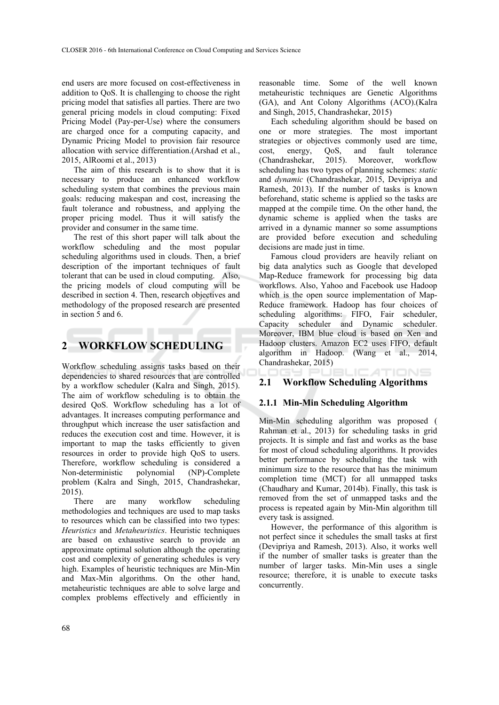end users are more focused on cost-effectiveness in addition to QoS. It is challenging to choose the right pricing model that satisfies all parties. There are two general pricing models in cloud computing: Fixed Pricing Model (Pay-per-Use) where the consumers are charged once for a computing capacity, and Dynamic Pricing Model to provision fair resource allocation with service differentiation.(Arshad et al., 2015, AlRoomi et al., 2013)

The aim of this research is to show that it is necessary to produce an enhanced workflow scheduling system that combines the previous main goals: reducing makespan and cost, increasing the fault tolerance and robustness, and applying the proper pricing model. Thus it will satisfy the provider and consumer in the same time.

The rest of this short paper will talk about the workflow scheduling and the most popular scheduling algorithms used in clouds. Then, a brief description of the important techniques of fault tolerant that can be used in cloud computing. Also, the pricing models of cloud computing will be described in section 4. Then, research objectives and methodology of the proposed research are presented in section 5 and 6.

# **2 WORKFLOW SCHEDULING**

Workflow scheduling assigns tasks based on their dependencies to shared resources that are controlled by a workflow scheduler (Kalra and Singh, 2015). The aim of workflow scheduling is to obtain the desired QoS. Workflow scheduling has a lot of advantages. It increases computing performance and throughput which increase the user satisfaction and reduces the execution cost and time. However, it is important to map the tasks efficiently to given resources in order to provide high QoS to users. Therefore, workflow scheduling is considered a Non-deterministic polynomial (NP)-Complete problem (Kalra and Singh, 2015, Chandrashekar, 2015).

There are many workflow scheduling methodologies and techniques are used to map tasks to resources which can be classified into two types: *Heuristics* and *Metaheuristics*. Heuristic techniques are based on exhaustive search to provide an approximate optimal solution although the operating cost and complexity of generating schedules is very high. Examples of heuristic techniques are Min-Min and Max-Min algorithms. On the other hand, metaheuristic techniques are able to solve large and complex problems effectively and efficiently in reasonable time. Some of the well known metaheuristic techniques are Genetic Algorithms (GA), and Ant Colony Algorithms (ACO).(Kalra and Singh, 2015, Chandrashekar, 2015)

Each scheduling algorithm should be based on one or more strategies. The most important strategies or objectives commonly used are time, cost, energy, QoS, and fault tolerance<br>(Chandrashekar, 2015). Moreover, workflow (Chandrashekar, 2015). Moreover, workflow scheduling has two types of planning schemes: *static* and *dynamic* (Chandrashekar, 2015, Devipriya and Ramesh, 2013). If the number of tasks is known beforehand, static scheme is applied so the tasks are mapped at the compile time. On the other hand, the dynamic scheme is applied when the tasks are arrived in a dynamic manner so some assumptions are provided before execution and scheduling decisions are made just in time.

Famous cloud providers are heavily reliant on big data analytics such as Google that developed Map-Reduce framework for processing big data workflows. Also, Yahoo and Facebook use Hadoop which is the open source implementation of Map-Reduce framework. Hadoop has four choices of scheduling algorithms: FIFO, Fair scheduler, Capacity scheduler and Dynamic scheduler. Moreover, IBM blue cloud is based on Xen and Hadoop clusters. Amazon EC2 uses FIFO, default algorithm in Hadoop. (Wang et al., 2014, Chandrashekar, 2015)

#### :ATIONS **2.1 Workflow Scheduling Algorithms**

### **2.1.1 Min-Min Scheduling Algorithm**

Min-Min scheduling algorithm was proposed ( Rahman et al., 2013) for scheduling tasks in grid projects. It is simple and fast and works as the base for most of cloud scheduling algorithms. It provides better performance by scheduling the task with minimum size to the resource that has the minimum completion time (MCT) for all unmapped tasks (Chaudhary and Kumar, 2014b). Finally, this task is removed from the set of unmapped tasks and the process is repeated again by Min-Min algorithm till every task is assigned.

However, the performance of this algorithm is not perfect since it schedules the small tasks at first (Devipriya and Ramesh, 2013). Also, it works well if the number of smaller tasks is greater than the number of larger tasks. Min-Min uses a single resource; therefore, it is unable to execute tasks concurrently.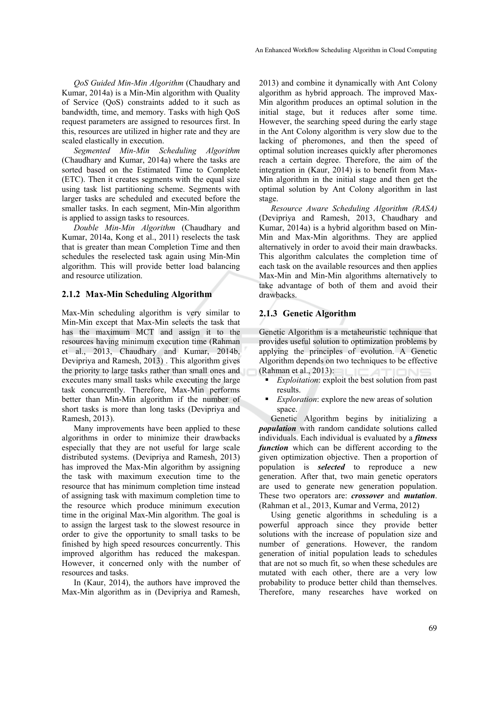*QoS Guided Min-Min Algorithm* (Chaudhary and Kumar, 2014a) is a Min-Min algorithm with Quality of Service (QoS) constraints added to it such as bandwidth, time, and memory. Tasks with high QoS request parameters are assigned to resources first. In this, resources are utilized in higher rate and they are scaled elastically in execution.

*Segmented Min-Min Scheduling Algorithm* (Chaudhary and Kumar, 2014a) where the tasks are sorted based on the Estimated Time to Complete (ETC). Then it creates segments with the equal size using task list partitioning scheme. Segments with larger tasks are scheduled and executed before the smaller tasks. In each segment, Min-Min algorithm is applied to assign tasks to resources.

*Double Min-Min Algorithm* (Chaudhary and Kumar, 2014a, Kong et al., 2011) reselects the task that is greater than mean Completion Time and then schedules the reselected task again using Min-Min algorithm. This will provide better load balancing and resource utilization.

#### **2.1.2 Max-Min Scheduling Algorithm**

Max-Min scheduling algorithm is very similar to Min-Min except that Max-Min selects the task that has the maximum MCT and assign it to the resources having minimum execution time (Rahman et al., 2013, Chaudhary and Kumar, 2014b, Devipriya and Ramesh, 2013) . This algorithm gives the priority to large tasks rather than small ones and executes many small tasks while executing the large task concurrently. Therefore, Max-Min performs better than Min-Min algorithm if the number of short tasks is more than long tasks (Devipriya and Ramesh, 2013).

Many improvements have been applied to these algorithms in order to minimize their drawbacks especially that they are not useful for large scale distributed systems. (Devipriya and Ramesh, 2013) has improved the Max-Min algorithm by assigning the task with maximum execution time to the resource that has minimum completion time instead of assigning task with maximum completion time to the resource which produce minimum execution time in the original Max-Min algorithm. The goal is to assign the largest task to the slowest resource in order to give the opportunity to small tasks to be finished by high speed resources concurrently. This improved algorithm has reduced the makespan. However, it concerned only with the number of resources and tasks.

In (Kaur, 2014), the authors have improved the Max-Min algorithm as in (Devipriya and Ramesh,

2013) and combine it dynamically with Ant Colony algorithm as hybrid approach. The improved Max-Min algorithm produces an optimal solution in the initial stage, but it reduces after some time. However, the searching speed during the early stage in the Ant Colony algorithm is very slow due to the lacking of pheromones, and then the speed of optimal solution increases quickly after pheromones reach a certain degree. Therefore, the aim of the integration in (Kaur, 2014) is to benefit from Max-Min algorithm in the initial stage and then get the optimal solution by Ant Colony algorithm in last stage.

*Resource Aware Scheduling Algorithm (RASA)* (Devipriya and Ramesh, 2013, Chaudhary and Kumar, 2014a) is a hybrid algorithm based on Min-Min and Max-Min algorithms. They are applied alternatively in order to avoid their main drawbacks. This algorithm calculates the completion time of each task on the available resources and then applies Max-Min and Min-Min algorithms alternatively to take advantage of both of them and avoid their drawbacks.

### **2.1.3 Genetic Algorithm**

Genetic Algorithm is a metaheuristic technique that provides useful solution to optimization problems by applying the principles of evolution. A Genetic Algorithm depends on two techniques to be effective (Rahman et al., 2013):

- *Exploitation*: exploit the best solution from past results.
- *Exploration*: explore the new areas of solution space.

Genetic Algorithm begins by initializing a *population* with random candidate solutions called individuals. Each individual is evaluated by a *fitness function* which can be different according to the given optimization objective. Then a proportion of population is *selected* to reproduce a new generation. After that, two main genetic operators are used to generate new generation population. These two operators are: *crossover* and *mutation*. (Rahman et al., 2013, Kumar and Verma, 2012)

Using genetic algorithms in scheduling is a powerful approach since they provide better solutions with the increase of population size and number of generations. However, the random generation of initial population leads to schedules that are not so much fit, so when these schedules are mutated with each other, there are a very low probability to produce better child than themselves. Therefore, many researches have worked on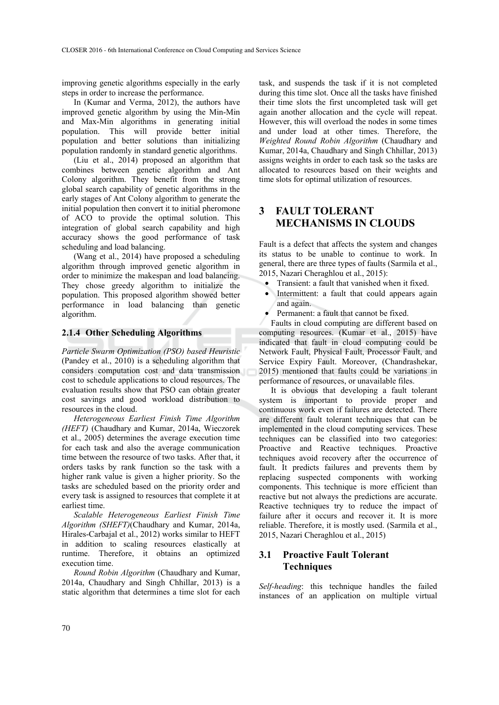improving genetic algorithms especially in the early steps in order to increase the performance.

In (Kumar and Verma, 2012), the authors have improved genetic algorithm by using the Min-Min and Max-Min algorithms in generating initial population. This will provide better initial population and better solutions than initializing population randomly in standard genetic algorithms.

(Liu et al., 2014) proposed an algorithm that combines between genetic algorithm and Ant Colony algorithm. They benefit from the strong global search capability of genetic algorithms in the early stages of Ant Colony algorithm to generate the initial population then convert it to initial pheromone of ACO to provide the optimal solution. This integration of global search capability and high accuracy shows the good performance of task scheduling and load balancing.

(Wang et al., 2014) have proposed a scheduling algorithm through improved genetic algorithm in order to minimize the makespan and load balancing. They chose greedy algorithm to initialize the population. This proposed algorithm showed better performance in load balancing than genetic algorithm.

#### **2.1.4 Other Scheduling Algorithms**

*Particle Swarm Optimization (PSO) based Heuristic* (Pandey et al., 2010) is a scheduling algorithm that considers computation cost and data transmission cost to schedule applications to cloud resources. The evaluation results show that PSO can obtain greater cost savings and good workload distribution to resources in the cloud.

*Heterogeneous Earliest Finish Time Algorithm (HEFT)* (Chaudhary and Kumar, 2014a, Wieczorek et al., 2005) determines the average execution time for each task and also the average communication time between the resource of two tasks. After that, it orders tasks by rank function so the task with a higher rank value is given a higher priority. So the tasks are scheduled based on the priority order and every task is assigned to resources that complete it at earliest time.

*Scalable Heterogeneous Earliest Finish Time Algorithm (SHEFT)*(Chaudhary and Kumar, 2014a, Hirales-Carbajal et al., 2012) works similar to HEFT in addition to scaling resources elastically at runtime. Therefore, it obtains an optimized execution time.

*Round Robin Algorithm* (Chaudhary and Kumar, 2014a, Chaudhary and Singh Chhillar, 2013) is a static algorithm that determines a time slot for each

task, and suspends the task if it is not completed during this time slot. Once all the tasks have finished their time slots the first uncompleted task will get again another allocation and the cycle will repeat. However, this will overload the nodes in some times and under load at other times. Therefore, the *Weighted Round Robin Algorithm* (Chaudhary and Kumar, 2014a, Chaudhary and Singh Chhillar, 2013) assigns weights in order to each task so the tasks are allocated to resources based on their weights and time slots for optimal utilization of resources.

# **3 FAULT TOLERANT MECHANISMS IN CLOUDS**

Fault is a defect that affects the system and changes its status to be unable to continue to work. In general, there are three types of faults (Sarmila et al., 2015, Nazari Cheraghlou et al., 2015):

- Transient: a fault that vanished when it fixed.
- Intermittent: a fault that could appears again and again.
- Permanent: a fault that cannot be fixed.

Faults in cloud computing are different based on computing resources. (Kumar et al., 2015) have indicated that fault in cloud computing could be Network Fault, Physical Fault, Processor Fault, and Service Expiry Fault. Moreover, (Chandrashekar, 2015) mentioned that faults could be variations in performance of resources, or unavailable files.

It is obvious that developing a fault tolerant system is important to provide proper and continuous work even if failures are detected. There are different fault tolerant techniques that can be implemented in the cloud computing services. These techniques can be classified into two categories: Proactive and Reactive techniques. Proactive techniques avoid recovery after the occurrence of fault. It predicts failures and prevents them by replacing suspected components with working components. This technique is more efficient than reactive but not always the predictions are accurate. Reactive techniques try to reduce the impact of failure after it occurs and recover it. It is more reliable. Therefore, it is mostly used. (Sarmila et al., 2015, Nazari Cheraghlou et al., 2015)

## **3.1 Proactive Fault Tolerant Techniques**

*Self-heading*: this technique handles the failed instances of an application on multiple virtual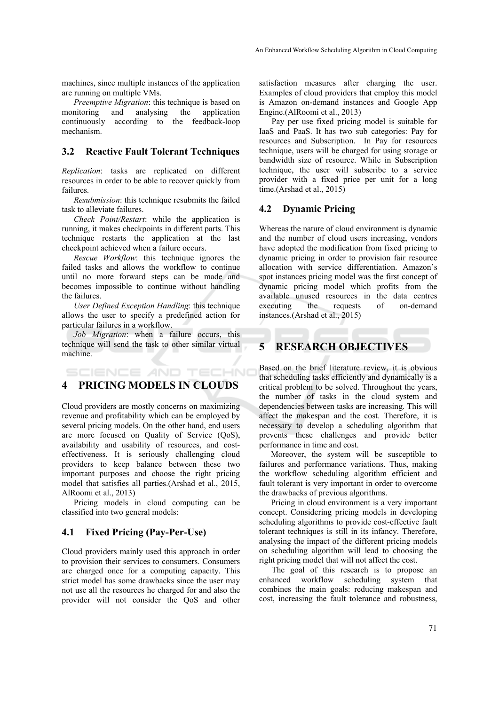machines, since multiple instances of the application are running on multiple VMs.

*Preemptive Migration*: this technique is based on monitoring and analysing the application continuously according to the feedback-loop mechanism.

### **3.2 Reactive Fault Tolerant Techniques**

*Replication*: tasks are replicated on different resources in order to be able to recover quickly from failures.

*Resubmission*: this technique resubmits the failed task to alleviate failures.

*Check Point/Restart*: while the application is running, it makes checkpoints in different parts. This technique restarts the application at the last checkpoint achieved when a failure occurs.

*Rescue Workflow*: this technique ignores the failed tasks and allows the workflow to continue until no more forward steps can be made and becomes impossible to continue without handling the failures.

*User Defined Exception Handling*: this technique allows the user to specify a predefined action for particular failures in a workflow.

*Job Migration*: when a failure occurs, this technique will send the task to other similar virtual machine.

# **4 PRICING MODELS IN CLOUDS**

SCIENCE AND TECHNO

Cloud providers are mostly concerns on maximizing revenue and profitability which can be employed by several pricing models. On the other hand, end users are more focused on Quality of Service (QoS), availability and usability of resources, and costeffectiveness. It is seriously challenging cloud providers to keep balance between these two important purposes and choose the right pricing model that satisfies all parties.(Arshad et al., 2015, AlRoomi et al., 2013)

Pricing models in cloud computing can be classified into two general models:

### **4.1 Fixed Pricing (Pay-Per-Use)**

Cloud providers mainly used this approach in order to provision their services to consumers. Consumers are charged once for a computing capacity. This strict model has some drawbacks since the user may not use all the resources he charged for and also the provider will not consider the QoS and other

satisfaction measures after charging the user. Examples of cloud providers that employ this model is Amazon on-demand instances and Google App Engine.(AlRoomi et al., 2013)

Pay per use fixed pricing model is suitable for IaaS and PaaS. It has two sub categories: Pay for resources and Subscription. In Pay for resources technique, users will be charged for using storage or bandwidth size of resource. While in Subscription technique, the user will subscribe to a service provider with a fixed price per unit for a long time.(Arshad et al., 2015)

#### **4.2 Dynamic Pricing**

Whereas the nature of cloud environment is dynamic and the number of cloud users increasing, vendors have adopted the modification from fixed pricing to dynamic pricing in order to provision fair resource allocation with service differentiation. Amazon's spot instances pricing model was the first concept of dynamic pricing model which profits from the available unused resources in the data centres executing the requests of on-demand instances.(Arshad et al., 2015)

# **5 RESEARCH OBJECTIVES**

Based on the brief literature review, it is obvious that scheduling tasks efficiently and dynamically is a critical problem to be solved. Throughout the years, the number of tasks in the cloud system and dependencies between tasks are increasing. This will affect the makespan and the cost. Therefore, it is necessary to develop a scheduling algorithm that prevents these challenges and provide better performance in time and cost.

Moreover, the system will be susceptible to failures and performance variations. Thus, making the workflow scheduling algorithm efficient and fault tolerant is very important in order to overcome the drawbacks of previous algorithms.

Pricing in cloud environment is a very important concept. Considering pricing models in developing scheduling algorithms to provide cost-effective fault tolerant techniques is still in its infancy. Therefore, analysing the impact of the different pricing models on scheduling algorithm will lead to choosing the right pricing model that will not affect the cost.

The goal of this research is to propose an enhanced workflow scheduling system that combines the main goals: reducing makespan and cost, increasing the fault tolerance and robustness,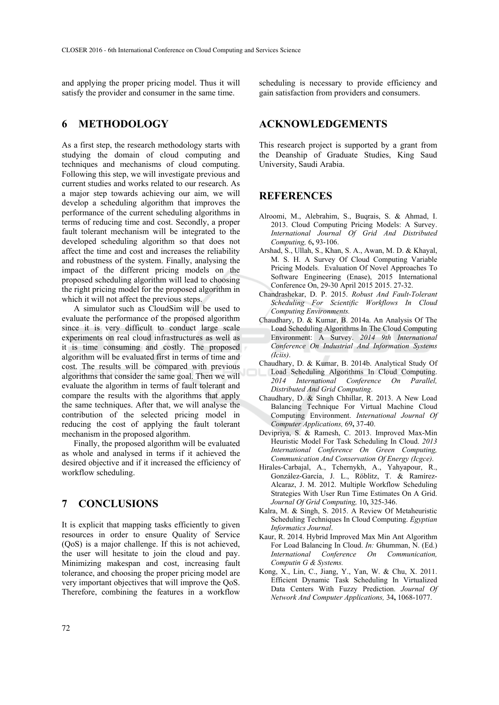and applying the proper pricing model. Thus it will satisfy the provider and consumer in the same time.

## **6 METHODOLOGY**

As a first step, the research methodology starts with studying the domain of cloud computing and techniques and mechanisms of cloud computing. Following this step, we will investigate previous and current studies and works related to our research. As a major step towards achieving our aim, we will develop a scheduling algorithm that improves the performance of the current scheduling algorithms in terms of reducing time and cost. Secondly, a proper fault tolerant mechanism will be integrated to the developed scheduling algorithm so that does not affect the time and cost and increases the reliability and robustness of the system. Finally, analysing the impact of the different pricing models on the proposed scheduling algorithm will lead to choosing the right pricing model for the proposed algorithm in which it will not affect the previous steps.

A simulator such as CloudSim will be used to evaluate the performance of the proposed algorithm since it is very difficult to conduct large scale experiments on real cloud infrastructures as well as it is time consuming and costly. The proposed algorithm will be evaluated first in terms of time and cost. The results will be compared with previous algorithms that consider the same goal. Then we will evaluate the algorithm in terms of fault tolerant and compare the results with the algorithms that apply the same techniques. After that, we will analyse the contribution of the selected pricing model in reducing the cost of applying the fault tolerant mechanism in the proposed algorithm.

Finally, the proposed algorithm will be evaluated as whole and analysed in terms if it achieved the desired objective and if it increased the efficiency of workflow scheduling.

## **7 CONCLUSIONS**

It is explicit that mapping tasks efficiently to given resources in order to ensure Quality of Service (QoS) is a major challenge. If this is not achieved, the user will hesitate to join the cloud and pay. Minimizing makespan and cost, increasing fault tolerance, and choosing the proper pricing model are very important objectives that will improve the QoS. Therefore, combining the features in a workflow

scheduling is necessary to provide efficiency and gain satisfaction from providers and consumers.

### **ACKNOWLEDGEMENTS**

This research project is supported by a grant from the Deanship of Graduate Studies, King Saud University, Saudi Arabia.

### **REFERENCES**

- Alroomi, M., Alebrahim, S., Buqrais, S. & Ahmad, I. 2013. Cloud Computing Pricing Models: A Survey. *International Journal Of Grid And Distributed Computing,* 6**,** 93-106.
- Arshad, S., Ullah, S., Khan, S. A., Awan, M. D. & Khayal, M. S. H. A Survey Of Cloud Computing Variable Pricing Models. Evaluation Of Novel Approaches To Software Engineering (Enase), 2015 International Conference On, 29-30 April 2015 2015. 27-32.
- Chandrashekar, D. P. 2015. *Robust And Fault-Tolerant Scheduling For Scientific Workflows In Cloud Computing Environments.*
- Chaudhary, D. & Kumar, B. 2014a. An Analysis Of The Load Scheduling Algorithms In The Cloud Computing Environment: A Survey. *2014 9th International Conference On Industrial And Information Systems (Iciis)*.
- Chaudhary, D. & Kumar, B. 2014b. Analytical Study Of Load Scheduling Algorithms In Cloud Computing. *2014 International Conference On Parallel, Distributed And Grid Computing*.
- Chaudhary, D. & Singh Chhillar, R. 2013. A New Load Balancing Technique For Virtual Machine Cloud Computing Environment. *International Journal Of Computer Applications,* 69**,** 37-40.
- Devipriya, S. & Ramesh, C. 2013. Improved Max-Min Heuristic Model For Task Scheduling In Cloud. *2013 International Conference On Green Computing, Communication And Conservation Of Energy (Icgce)*.
- Hirales-Carbajal, A., Tchernykh, A., Yahyapour, R., González-García, J. L., Röblitz, T. & Ramírez-Alcaraz, J. M. 2012. Multiple Workflow Scheduling Strategies With User Run Time Estimates On A Grid. *Journal Of Grid Computing,* 10**,** 325-346.
- Kalra, M. & Singh, S. 2015. A Review Of Metaheuristic Scheduling Techniques In Cloud Computing. *Egyptian Informatics Journal*.
- Kaur, R. 2014. Hybrid Improved Max Min Ant Algorithm For Load Balancing In Cloud. *In:* Ghumman, N. (Ed.) *International Conference On Communication, Computin G & Systems.*
- Kong, X., Lin, C., Jiang, Y., Yan, W. & Chu, X. 2011. Efficient Dynamic Task Scheduling In Virtualized Data Centers With Fuzzy Prediction. *Journal Of Network And Computer Applications,* 34**,** 1068-1077.